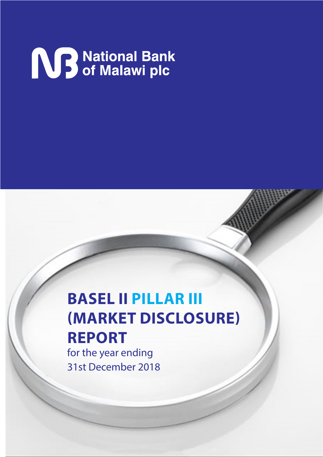# **NB** National Bank<br>
Sof Malawi plc

## **BASEL II PILLAR III (MARKET DISCLOSURE) REPORT**

for the year ending 31st December 2018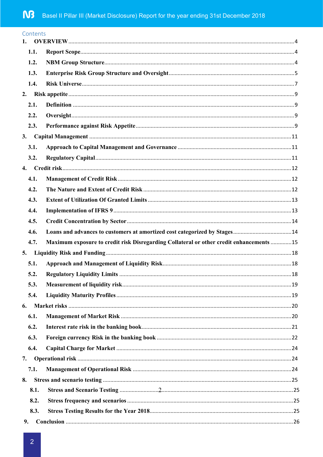|    | Contents |                                                                                          |  |
|----|----------|------------------------------------------------------------------------------------------|--|
|    | 1.1.     |                                                                                          |  |
|    | 1.2.     |                                                                                          |  |
|    | 1.3.     |                                                                                          |  |
|    | 1.4.     |                                                                                          |  |
| 2. |          |                                                                                          |  |
|    | 2.1.     |                                                                                          |  |
|    | 2.2.     |                                                                                          |  |
|    | 2.3.     |                                                                                          |  |
| 3. |          |                                                                                          |  |
|    | 3.1.     |                                                                                          |  |
|    | 3.2.     |                                                                                          |  |
| 4. |          |                                                                                          |  |
|    | 4.1.     |                                                                                          |  |
|    | 4.2.     |                                                                                          |  |
|    | 4.3.     |                                                                                          |  |
|    | 4.4.     |                                                                                          |  |
|    | 4.5.     |                                                                                          |  |
|    | 4.6.     |                                                                                          |  |
|    | 4.7.     | Maximum exposure to credit risk Disregarding Collateral or other credit enhancements  15 |  |
| 5. |          |                                                                                          |  |
|    | 5.1.     |                                                                                          |  |
|    | 5.2.     |                                                                                          |  |
|    | 5.3.     |                                                                                          |  |
|    | 5.4.     |                                                                                          |  |
| 6. |          |                                                                                          |  |
|    | 6.1.     |                                                                                          |  |
|    | 6.2.     |                                                                                          |  |
|    | 6.3.     |                                                                                          |  |
|    | 6.4.     |                                                                                          |  |
| 7. |          |                                                                                          |  |
|    | 7.1.     |                                                                                          |  |
| 8. |          |                                                                                          |  |
|    | 8.1.     |                                                                                          |  |
|    | 8.2.     |                                                                                          |  |
|    | 8.3.     |                                                                                          |  |
| 9. |          |                                                                                          |  |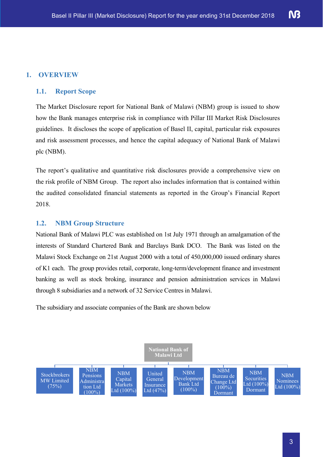### **1. OVERVIEW**

#### **1.1. Report Scope**

The Market Disclosure report for National Bank of Malawi (NBM) group is issued to show how the Bank manages enterprise risk in compliance with Pillar III Market Risk Disclosures guidelines. It discloses the scope of application of Basel II, capital, particular risk exposures and risk assessment processes, and hence the capital adequacy of National Bank of Malawi plc (NBM).

The report's qualitative and quantitative risk disclosures provide a comprehensive view on the risk profile of NBM Group. The report also includes information that is contained within the audited consolidated financial statements as reported in the Group's Financial Report 2018.

#### **1.2. NBM Group Structure**

National Bank of Malawi PLC was established on 1st July 1971 through an amalgamation of the interests of Standard Chartered Bank and Barclays Bank DCO. The Bank was listed on the Malawi Stock Exchange on 21st August 2000 with a total of 450,000,000 issued ordinary shares of K1 each. The group provides retail, corporate, long-term/development finance and investment banking as well as stock broking, insurance and pension administration services in Malawi through 8 subsidiaries and a network of 32 Service Centres in Malawi.

The subsidiary and associate companies of the Bank are shown below

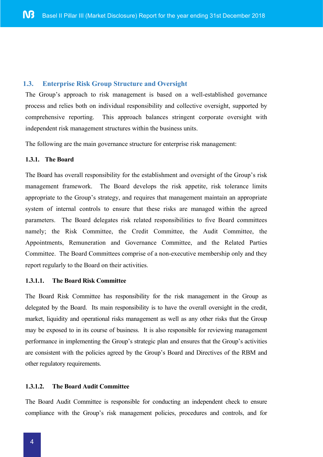#### **1.3. Enterprise Risk Group Structure and Oversight**

The Group's approach to risk management is based on a well-established governance process and relies both on individual responsibility and collective oversight, supported by comprehensive reporting. This approach balances stringent corporate oversight with independent risk management structures within the business units.

The following are the main governance structure for enterprise risk management:

#### **1.3.1. The Board**

The Board has overall responsibility for the establishment and oversight of the Group's risk management framework. The Board develops the risk appetite, risk tolerance limits appropriate to the Group's strategy, and requires that management maintain an appropriate system of internal controls to ensure that these risks are managed within the agreed parameters. The Board delegates risk related responsibilities to five Board committees namely; the Risk Committee, the Credit Committee, the Audit Committee, the Appointments, Remuneration and Governance Committee, and the Related Parties Committee. The Board Committees comprise of a non-executive membership only and they report regularly to the Board on their activities.

#### **1.3.1.1. The Board Risk Committee**

The Board Risk Committee has responsibility for the risk management in the Group as delegated by the Board. Its main responsibility is to have the overall oversight in the credit, market, liquidity and operational risks management as well as any other risks that the Group may be exposed to in its course of business. It is also responsible for reviewing management performance in implementing the Group's strategic plan and ensures that the Group's activities are consistent with the policies agreed by the Group's Board and Directives of the RBM and other regulatory requirements.

#### **1.3.1.2. The Board Audit Committee**

The Board Audit Committee is responsible for conducting an independent check to ensure compliance with the Group's risk management policies, procedures and controls, and for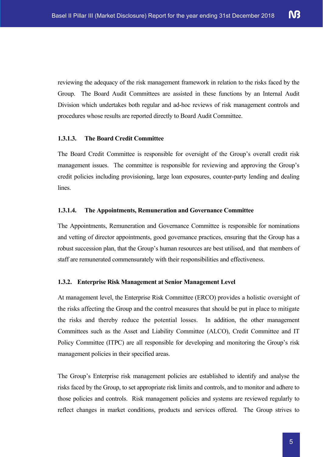reviewing the adequacy of the risk management framework in relation to the risks faced by the Group. The Board Audit Committees are assisted in these functions by an Internal Audit Division which undertakes both regular and ad-hoc reviews of risk management controls and procedures whose results are reported directly to Board Audit Committee.

#### **1.3.1.3. The Board Credit Committee**

The Board Credit Committee is responsible for oversight of the Group's overall credit risk management issues. The committee is responsible for reviewing and approving the Group's credit policies including provisioning, large loan exposures, counter-party lending and dealing lines.

#### **1.3.1.4. The Appointments, Remuneration and Governance Committee**

The Appointments, Remuneration and Governance Committee is responsible for nominations and vetting of director appointments, good governance practices, ensuring that the Group has a robust succession plan, that the Group's human resources are best utilised, and that members of staff are remunerated commensurately with their responsibilities and effectiveness.

#### **1.3.2. Enterprise Risk Management at Senior Management Level**

At management level, the Enterprise Risk Committee (ERCO) provides a holistic oversight of the risks affecting the Group and the control measures that should be put in place to mitigate the risks and thereby reduce the potential losses. In addition, the other management Committees such as the Asset and Liability Committee (ALCO), Credit Committee and IT Policy Committee (ITPC) are all responsible for developing and monitoring the Group's risk management policies in their specified areas.

The Group's Enterprise risk management policies are established to identify and analyse the risks faced by the Group, to set appropriate risk limits and controls, and to monitor and adhere to those policies and controls. Risk management policies and systems are reviewed regularly to reflect changes in market conditions, products and services offered. The Group strives to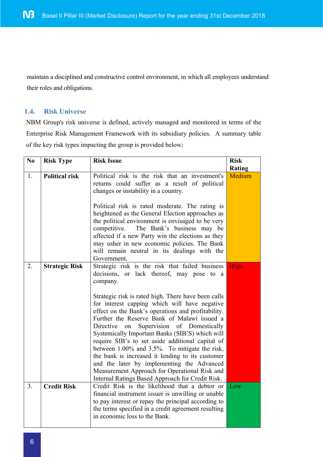maintain a disciplined and constructive control environment, in which all employees understand their roles and obligations.

#### **1.4. Risk Universe**

NBM Group's risk universe is defined, actively managed and monitored in terms of the Enterprise Risk Management Framework with its subsidiary policies. A summary table of the key risk types impacting the group is provided below;

| N <sub>0</sub> | <b>Risk Type</b>      | <b>Risk Issue</b>                                                                                                                                                                                                                                                                                                                                                                                                                                                                                                                                                                                                                                                                                                                      | <b>Risk</b>   |
|----------------|-----------------------|----------------------------------------------------------------------------------------------------------------------------------------------------------------------------------------------------------------------------------------------------------------------------------------------------------------------------------------------------------------------------------------------------------------------------------------------------------------------------------------------------------------------------------------------------------------------------------------------------------------------------------------------------------------------------------------------------------------------------------------|---------------|
|                |                       |                                                                                                                                                                                                                                                                                                                                                                                                                                                                                                                                                                                                                                                                                                                                        | <b>Rating</b> |
| 1.             | <b>Political risk</b> | Political risk is the risk that an investment's<br>returns could suffer as a result of political<br>changes or instability in a country.                                                                                                                                                                                                                                                                                                                                                                                                                                                                                                                                                                                               | Medium        |
|                |                       | Political risk is rated moderate. The rating is<br>heightened as the General Election approaches as<br>the political environment is envisaged to be very<br>The Bank's business may be<br>competitive.<br>affected if a new Party win the elections as they<br>may usher in new economic policies. The Bank<br>will remain neutral in its dealings with the<br>Government.                                                                                                                                                                                                                                                                                                                                                             |               |
| 2.             | <b>Strategic Risk</b> | Strategic risk is the risk that failed business<br>decisions, or lack thereof, may pose to a<br>company.<br>Strategic risk is rated high. There have been calls<br>for interest capping which will have negative<br>effect on the Bank's operations and profitability.<br>Further the Reserve Bank of Malawi issued a<br>Supervision of Domestically<br>Directive<br>on<br>Systemically Important Banks (SIB'S) which will<br>require SIB's to set aside additional capital of<br>between 1.00% and 3.5%. To mitigate the risk,<br>the bank is increased it lending to its customer<br>and the later by implementing the Advanced<br>Measurement Approach for Operational Risk and<br>Internal Ratings Based Approach for Credit Risk. | High          |
| 3.             | <b>Credit Risk</b>    | Credit Risk is the likelihood that a debtor or<br>financial instrument issuer is unwilling or unable<br>to pay interest or repay the principal according to<br>the terms specified in a credit agreement resulting<br>in economic loss to the Bank.                                                                                                                                                                                                                                                                                                                                                                                                                                                                                    | Low           |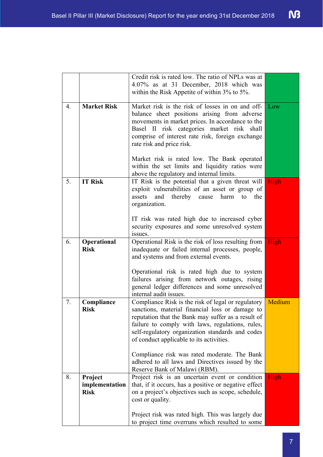|    |                    | Credit risk is rated low. The ratio of NPLs was at                                                   |        |
|----|--------------------|------------------------------------------------------------------------------------------------------|--------|
|    |                    | 4.07% as at 31 December, 2018 which was                                                              |        |
|    |                    | within the Risk Appetite of within $3\%$ to $5\%$ .                                                  |        |
| 4. | <b>Market Risk</b> | Market risk is the risk of losses in on and off-                                                     | Low    |
|    |                    | balance sheet positions arising from adverse                                                         |        |
|    |                    | movements in market prices. In accordance to the                                                     |        |
|    |                    | Basel II risk categories market risk shall                                                           |        |
|    |                    | comprise of interest rate risk, foreign exchange                                                     |        |
|    |                    | rate risk and price risk.                                                                            |        |
|    |                    | Market risk is rated low. The Bank operated                                                          |        |
|    |                    | within the set limits and liquidity ratios were                                                      |        |
|    |                    | above the regulatory and internal limits.                                                            |        |
| 5. | <b>IT Risk</b>     | IT Risk is the potential that a given threat will                                                    | High   |
|    |                    | exploit vulnerabilities of an asset or group of                                                      |        |
|    |                    | and<br>thereby<br>harm<br>assets<br>cause<br>the<br>to                                               |        |
|    |                    | organization.                                                                                        |        |
|    |                    | IT risk was rated high due to increased cyber                                                        |        |
|    |                    | security exposures and some unresolved system                                                        |        |
|    |                    | issues.                                                                                              |        |
| 6. | Operational        | Operational Risk is the risk of loss resulting from                                                  | High   |
|    | <b>Risk</b>        | inadequate or failed internal processes, people,                                                     |        |
|    |                    | and systems and from external events.                                                                |        |
|    |                    | Operational risk is rated high due to system                                                         |        |
|    |                    | failures arising from network outages, rising                                                        |        |
|    |                    | general ledger differences and some unresolved                                                       |        |
|    |                    | internal audit issues.                                                                               |        |
| 7. | Compliance         | Compliance Risk is the risk of legal or regulatory                                                   | Medium |
|    | <b>Risk</b>        | sanctions, material financial loss or damage to                                                      |        |
|    |                    | reputation that the Bank may suffer as a result of                                                   |        |
|    |                    | failure to comply with laws, regulations, rules,<br>self-regulatory organization standards and codes |        |
|    |                    | of conduct applicable to its activities.                                                             |        |
|    |                    |                                                                                                      |        |
|    |                    | Compliance risk was rated moderate. The Bank                                                         |        |
|    |                    | adhered to all laws and Directives issued by the                                                     |        |
|    |                    | Reserve Bank of Malawi (RBM).                                                                        |        |
| 8. | Project            | Project risk is an uncertain event or condition                                                      | High   |
|    | implementation     | that, if it occurs, has a positive or negative effect                                                |        |
|    | <b>Risk</b>        | on a project's objectives such as scope, schedule,<br>cost or quality.                               |        |
|    |                    |                                                                                                      |        |
|    |                    | Project risk was rated high. This was largely due                                                    |        |
|    |                    | to project time overruns which resulted to some                                                      |        |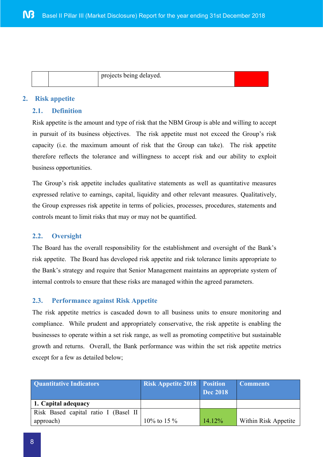|  | projects being delayed. |  |
|--|-------------------------|--|
|  |                         |  |

#### **2. Risk appetite**

#### **2.1. Definition**

Risk appetite is the amount and type of risk that the NBM Group is able and willing to accept in pursuit of its business objectives. The risk appetite must not exceed the Group's risk capacity (i.e. the maximum amount of risk that the Group can take). The risk appetite therefore reflects the tolerance and willingness to accept risk and our ability to exploit business opportunities.

The Group's risk appetite includes qualitative statements as well as quantitative measures expressed relative to earnings, capital, liquidity and other relevant measures. Qualitatively, the Group expresses risk appetite in terms of policies, processes, procedures, statements and controls meant to limit risks that may or may not be quantified.

#### **2.2. Oversight**

The Board has the overall responsibility for the establishment and oversight of the Bank's risk appetite. The Board has developed risk appetite and risk tolerance limits appropriate to the Bank's strategy and require that Senior Management maintains an appropriate system of internal controls to ensure that these risks are managed within the agreed parameters.

#### **2.3. Performance against Risk Appetite**

The risk appetite metrics is cascaded down to all business units to ensure monitoring and compliance. While prudent and appropriately conservative, the risk appetite is enabling the businesses to operate within a set risk range, as well as promoting competitive but sustainable growth and returns. Overall, the Bank performance was within the set risk appetite metrics except for a few as detailed below;

| <b>Quantitative Indicators</b>        | <b>Risk Appetite 2018 Position</b> | Dec 2018  | <b>Comments</b>      |
|---------------------------------------|------------------------------------|-----------|----------------------|
| 1. Capital adequacy                   |                                    |           |                      |
| Risk Based capital ratio I (Basel II) |                                    |           |                      |
| approach)                             | 10\% to 15 \%                      | $14.12\%$ | Within Risk Appetite |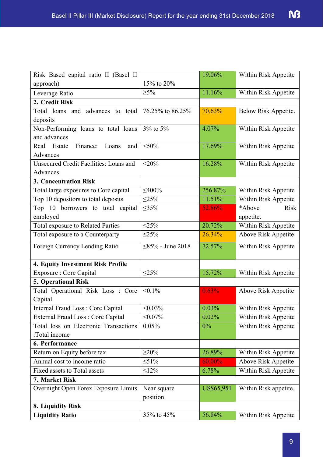| Risk Based capital ratio II (Basel II    |                     | 19.06%     | Within Risk Appetite  |
|------------------------------------------|---------------------|------------|-----------------------|
| approach)                                | 15% to 20%          |            |                       |
| Leverage Ratio                           | $\geq 5\%$          | 11.16%     | Within Risk Appetite  |
| 2. Credit Risk                           |                     |            |                       |
| Total loans and advances to total        | 76.25% to 86.25%    | 70.63%     | Below Risk Appetite.  |
| deposits                                 |                     |            |                       |
| Non-Performing loans to total loans      | 3% to 5%            | 4.07%      | Within Risk Appetite  |
| and advances                             |                     |            |                       |
| Finance:<br>Real Estate<br>Loans<br>and  | $<$ 50%             | 17.69%     | Within Risk Appetite  |
| Advances                                 |                     |            |                       |
| Unsecured Credit Facilities: Loans and   | $<$ 20%             | 16.28%     | Within Risk Appetite  |
| Advances                                 |                     |            |                       |
| <b>3. Concentration Risk</b>             |                     |            |                       |
| Total large exposures to Core capital    | $<\!\!400\!\%$      | 256.87%    | Within Risk Appetite  |
| Top 10 depositors to total deposits      | $\leq$ 25%          | 11.51%     | Within Risk Appetite  |
| Top 10 borrowers to total capital        | $\leq 35\%$         | 52.86%     | *Above<br><b>Risk</b> |
| employed                                 |                     |            | appetite.             |
| <b>Total exposure to Related Parties</b> | <25%                | 20.72%     | Within Risk Appetite  |
| Total exposure to a Counterparty         | $\leq$ 25%          | 26.34%     | Above Risk Appetite   |
| Foreign Currency Lending Ratio           | $<85\%$ - June 2018 | 72.57%     | Within Risk Appetite  |
| 4. Equity Investment Risk Profile        |                     |            |                       |
| <b>Exposure: Core Capital</b>            | <25%                | 15.72%     | Within Risk Appetite  |
| 5. Operational Risk                      |                     |            |                       |
| Total Operational Risk Loss : Core       | $< 0.1\%$           | 0.63%      | Above Risk Appetite   |
| Capital                                  |                     |            |                       |
| Internal Fraud Loss: Core Capital        | $< 0.03\%$          | 0.03%      | Within Risk Appetite  |
| <b>External Fraud Loss: Core Capital</b> | $< 0.07\%$          | 0.02%      | Within Risk Appetite  |
| Total loss on Electronic Transactions    | 0.05%               | 0%         | Within Risk Appetite  |
| :Total income                            |                     |            |                       |
| 6. Performance                           |                     |            |                       |
| Return on Equity before tax              | $>20\%$             | 26.89%     | Within Risk Appetite  |
| Annual cost to income ratio              | $\leq 51\%$         | 60.00%     | Above Risk Appetite   |
| Fixed assets to Total assets             | $\leq$ 12%          | 6.78%      | Within Risk Appetite  |
| 7. Market Risk                           |                     |            |                       |
| Overnight Open Forex Exposure Limits     | Near square         | US\$65,951 | Within Risk appetite. |
|                                          | position            |            |                       |
| 8. Liquidity Risk                        |                     |            |                       |
| <b>Liquidity Ratio</b>                   | 35% to 45%          | 56.84%     | Within Risk Appetite  |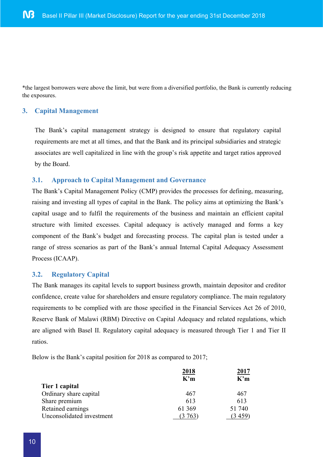\*the largest borrowers were above the limit, but were from a diversified portfolio, the Bank is currently reducing the exposures.

#### **3. Capital Management**

The Bank's capital management strategy is designed to ensure that regulatory capital requirements are met at all times, and that the Bank and its principal subsidiaries and strategic associates are well capitalized in line with the group's risk appetite and target ratios approved by the Board.

#### **3.1. Approach to Capital Management and Governance**

The Bank's Capital Management Policy (CMP) provides the processes for defining, measuring, raising and investing all types of capital in the Bank. The policy aims at optimizing the Bank's capital usage and to fulfil the requirements of the business and maintain an efficient capital structure with limited excesses. Capital adequacy is actively managed and forms a key component of the Bank's budget and forecasting process. The capital plan is tested under a range of stress scenarios as part of the Bank's annual Internal Capital Adequacy Assessment Process (ICAAP).

#### **3.2. Regulatory Capital**

The Bank manages its capital levels to support business growth, maintain depositor and creditor confidence, create value for shareholders and ensure regulatory compliance. The main regulatory requirements to be complied with are those specified in the Financial Services Act 26 of 2010, Reserve Bank of Malawi (RBM) Directive on Capital Adequacy and related regulations, which are aligned with Basel II. Regulatory capital adequacy is measured through Tier 1 and Tier II ratios.

Below is the Bank's capital position for 2018 as compared to 2017;

|                           | <u>2018</u> | <u>2017</u> |
|---------------------------|-------------|-------------|
|                           | K'm         | K'm         |
| Tier 1 capital            |             |             |
| Ordinary share capital    | 467         | 467         |
| Share premium             | 613         | 613         |
| Retained earnings         | 61 369      | 51 740      |
| Unconsolidated investment | (3763)      | (3459)      |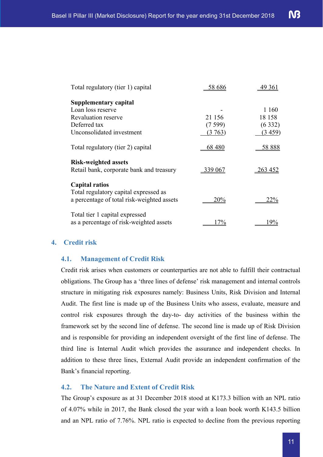| Total regulatory (tier 1) capital                                                                            | 58 686  | 49 361         |
|--------------------------------------------------------------------------------------------------------------|---------|----------------|
| <b>Supplementary capital</b>                                                                                 |         |                |
| Loan loss reserve                                                                                            |         | 1 160          |
| Revaluation reserve                                                                                          | 21 156  | 18 158         |
| Deferred tax                                                                                                 | (7599)  | (6332)         |
| Unconsolidated investment                                                                                    | (3763)  | (3.459)        |
| Total regulatory (tier 2) capital                                                                            | 68 480  | 58 888         |
| <b>Risk-weighted assets</b><br>Retail bank, corporate bank and treasury                                      | 339 067 | <u>263 452</u> |
| <b>Capital ratios</b><br>Total regulatory capital expressed as<br>a percentage of total risk-weighted assets | 20%     | 22%            |
| Total tier 1 capital expressed<br>as a percentage of risk-weighted assets                                    | $7\%$   | 9%             |

#### **4. Credit risk**

#### **4.1. Management of Credit Risk**

Credit risk arises when customers or counterparties are not able to fulfill their contractual obligations. The Group has a 'three lines of defense' risk management and internal controls structure in mitigating risk exposures namely: Business Units, Risk Division and Internal Audit. The first line is made up of the Business Units who assess, evaluate, measure and control risk exposures through the day-to- day activities of the business within the framework set by the second line of defense. The second line is made up of Risk Division and is responsible for providing an independent oversight of the first line of defense. The third line is Internal Audit which provides the assurance and independent checks. In addition to these three lines, External Audit provide an independent confirmation of the Bank's financial reporting.

#### **4.2. The Nature and Extent of Credit Risk**

The Group's exposure as at 31 December 2018 stood at K173.3 billion with an NPL ratio of 4.07% while in 2017, the Bank closed the year with a loan book worth K143.5 billion and an NPL ratio of 7.76%. NPL ratio is expected to decline from the previous reporting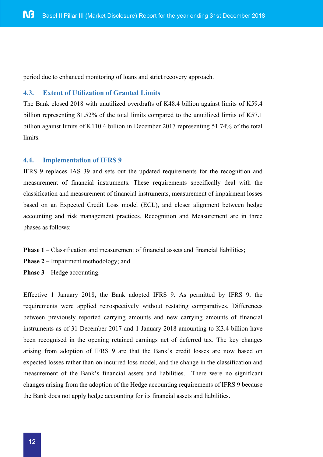period due to enhanced monitoring of loans and strict recovery approach.

#### **4.3. Extent of Utilization of Granted Limits**

The Bank closed 2018 with unutilized overdrafts of K48.4 billion against limits of K59.4 billion representing 81.52% of the total limits compared to the unutilized limits of K57.1 billion against limits of K110.4 billion in December 2017 representing 51.74% of the total limits.

#### **4.4. Implementation of IFRS 9**

IFRS 9 replaces IAS 39 and sets out the updated requirements for the recognition and measurement of financial instruments. These requirements specifically deal with the classification and measurement of financial instruments, measurement of impairment losses based on an Expected Credit Loss model (ECL), and closer alignment between hedge accounting and risk management practices. Recognition and Measurement are in three phases as follows:

- **Phase 1** Classification and measurement of financial assets and financial liabilities;
- **Phase 2** Impairment methodology; and
- **Phase 3** Hedge accounting.

Effective 1 January 2018, the Bank adopted IFRS 9. As permitted by IFRS 9, the requirements were applied retrospectively without restating comparatives. Differences between previously reported carrying amounts and new carrying amounts of financial instruments as of 31 December 2017 and 1 January 2018 amounting to K3.4 billion have been recognised in the opening retained earnings net of deferred tax. The key changes arising from adoption of IFRS 9 are that the Bank's credit losses are now based on expected losses rather than on incurred loss model, and the change in the classification and measurement of the Bank's financial assets and liabilities. There were no significant changes arising from the adoption of the Hedge accounting requirements of IFRS 9 because the Bank does not apply hedge accounting for its financial assets and liabilities.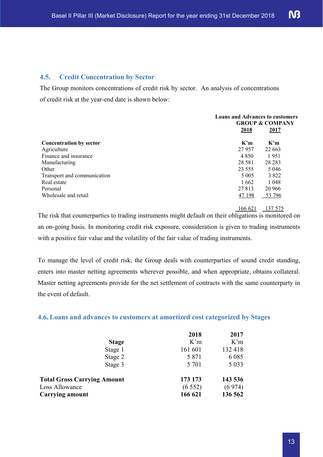#### **4.5. Credit Concentration by Sector**

The Group monitors concentrations of credit risk by sector. An analysis of concentrations of credit risk at the year-end date is shown below:

|                                |                         | <b>Loans and Advances to customers</b><br><b>GROUP &amp; COMPANY</b> |  |
|--------------------------------|-------------------------|----------------------------------------------------------------------|--|
|                                | 2018                    | 2017                                                                 |  |
| <b>Concentration by sector</b> | $\mathbf{K}^{\prime}$ m | $\mathbf{K}^{\prime}$ m                                              |  |
| Agriculture                    | 27 957                  | 22 663                                                               |  |
| Finance and insurance          | 4 8 5 0                 | 1951                                                                 |  |
| Manufacturing                  | 28 5 8 1                | 28 28 3                                                              |  |
| Other                          | 23 5 5 5                | 5 0 4 6                                                              |  |
| Transport and communication    | 5 0 0 5                 | 3822                                                                 |  |
| Real estate                    | 1 6 6 2                 | 1 0 4 8                                                              |  |
| Personal                       | 27 813                  | 20 966                                                               |  |
| Wholesale and retail           | 47 198                  | 53 796                                                               |  |

166 621 137 575

The risk that counterparties to trading instruments might default on their obligations is monitored on an on-going basis. In monitoring credit risk exposure, consideration is given to trading instruments with a positive fair value and the volatility of the fair value of trading instruments.

To manage the level of credit risk, the Group deals with counterparties of sound credit standing, enters into master netting agreements wherever possible, and when appropriate, obtains collateral. Master netting agreements provide for the net settlement of contracts with the same counterparty in the event of default.

#### **4.6. Loans and advances to customers at amortized cost categorized by Stages**

|                                    | 2018    | 2017    |
|------------------------------------|---------|---------|
| <b>Stage</b>                       | K'm     | K'm     |
| Stage 1                            | 161 601 | 132 418 |
| Stage 2                            | 5 8 7 1 | 6 0 8 5 |
| Stage 3                            | 5 7 0 1 | 5 0 3 3 |
| <b>Total Gross Carrying Amount</b> | 173 173 | 143 536 |
| Loss Allowance                     | (6552)  | (6974)  |
| <b>Carrying amount</b>             | 166 621 | 136 562 |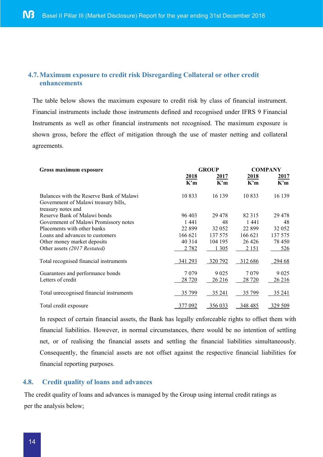#### **4.7.Maximum exposure to credit risk Disregarding Collateral or other credit enhancements**

The table below shows the maximum exposure to credit risk by class of financial instrument. Financial instruments include those instruments defined and recognised under IFRS 9 Financial Instruments as well as other financial instruments not recognised. The maximum exposure is shown gross, before the effect of mitigation through the use of master netting and collateral agreements.

| Gross maximum exposure                                                                                 | <b>GROUP</b> |             | <b>COMPANY</b> |             |
|--------------------------------------------------------------------------------------------------------|--------------|-------------|----------------|-------------|
|                                                                                                        | 2018<br>K'm  | 2017<br>K'm | 2018<br>K'm    | 2017<br>K'm |
| Balances with the Reserve Bank of Malawi<br>Government of Malawi treasury bills,<br>treasury notes and | 10833        | 16 139      | 10 8 33        | 16 139      |
| Reserve Bank of Malawi bonds                                                                           | 96 403       | 29 4 7 8    | 82 315         | 29 4 7 8    |
| Government of Malawi Promissory notes                                                                  | 1441         | 48          | 1441           | 48          |
| Placements with other banks                                                                            | 22 8 9 9     | 32 052      | 22 8 9 9       | 32 052      |
| Loans and advances to customers                                                                        | 166 621      | 137 575     | 166 621        | 137 575     |
| Other money market deposits                                                                            | 40 3 14      | 104 195     | 26 4 26        | 78 450      |
| Other assets (2017 Restated)                                                                           | 2 7 8 2      | 1 3 0 5     | 2 1 5 1        | 526         |
| Total recognised financial instruments                                                                 | 341 293      | 320 792     | 312 686        | 294 68      |
| Guarantees and performance bonds                                                                       | 7079         | 9 0 25      | 7 0 7 9        | 9 0 25      |
| Letters of credit                                                                                      | 28 7 20      | 26 216      | 28 720         | 26 216      |
| Total unrecognised financial instruments                                                               | 35 799       | 35 24 1     | 35 799         | 35 24 1     |
| Total credit exposure                                                                                  | <u>7 092</u> | 356 033     | 348 485        | 329 509     |

In respect of certain financial assets, the Bank has legally enforceable rights to offset them with financial liabilities. However, in normal circumstances, there would be no intention of settling net, or of realising the financial assets and settling the financial liabilities simultaneously. Consequently, the financial assets are not offset against the respective financial liabilities for financial reporting purposes.

#### **4.8. Credit quality of loans and advances**

The credit quality of loans and advances is managed by the Group using internal credit ratings as per the analysis below;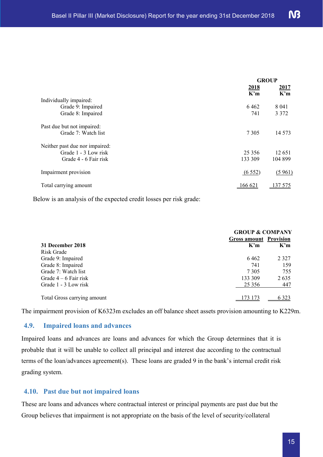| <b>GROUP</b> |                                         |
|--------------|-----------------------------------------|
| 2018<br>K'm  | 2017<br>$\mathbf{K}^{\prime}\mathbf{m}$ |
|              |                                         |
| 6462         | 8 0 4 1                                 |
| 741          | 3 3 7 2                                 |
|              |                                         |
| 7 3 0 5      | 14 5 7 3                                |
|              |                                         |
| 25 3 5 6     | 12 651                                  |
| 133 309      | 104 899                                 |
| (6552)       | (5961)                                  |
| 166 621      | 575                                     |
|              |                                         |

Below is an analysis of the expected credit losses per risk grade:

|                             | <b>GROUP &amp; COMPANY</b>    |         |  |
|-----------------------------|-------------------------------|---------|--|
|                             | <b>Gross amount Provision</b> |         |  |
| 31 December 2018            | K'm                           | K'm     |  |
| Risk Grade                  |                               |         |  |
| Grade 9: Impaired           | 6462                          | 2 3 2 7 |  |
| Grade 8: Impaired           | 741                           | 159     |  |
| Grade 7: Watch list         | 7 3 0 5                       | 755     |  |
| Grade $4-6$ Fair risk       | 133 309                       | 2635    |  |
| Grade 1 - 3 Low risk        | 25 3 5 6                      | 447     |  |
| Total Gross carrying amount |                               | .323    |  |

The impairment provision of K6323m excludes an off balance sheet assets provision amounting to K229m.

#### **4.9. Impaired loans and advances**

Impaired loans and advances are loans and advances for which the Group determines that it is probable that it will be unable to collect all principal and interest due according to the contractual terms of the loan/advances agreement(s). These loans are graded 9 in the bank's internal credit risk grading system.

#### **4.10. Past due but not impaired loans**

These are loans and advances where contractual interest or principal payments are past due but the Group believes that impairment is not appropriate on the basis of the level of security/collateral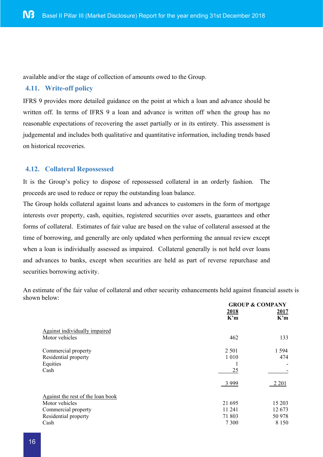available and/or the stage of collection of amounts owed to the Group.

#### **4.11. Write-off policy**

IFRS 9 provides more detailed guidance on the point at which a loan and advance should be written off. In terms of IFRS 9 a loan and advance is written off when the group has no reasonable expectations of recovering the asset partially or in its entirety. This assessment is judgemental and includes both qualitative and quantitative information, including trends based on historical recoveries.

#### **4.12. Collateral Repossessed**

It is the Group's policy to dispose of repossessed collateral in an orderly fashion. The proceeds are used to reduce or repay the outstanding loan balance.

The Group holds collateral against loans and advances to customers in the form of mortgage interests over property, cash, equities, registered securities over assets, guarantees and other forms of collateral. Estimates of fair value are based on the value of collateral assessed at the time of borrowing, and generally are only updated when performing the annual review except when a loan is individually assessed as impaired. Collateral generally is not held over loans and advances to banks, except when securities are held as part of reverse repurchase and securities borrowing activity.

An estimate of the fair value of collateral and other security enhancements held against financial assets is shown below:

|                                   | <b>GROUP &amp; COMPANY</b> |             |  |
|-----------------------------------|----------------------------|-------------|--|
|                                   | 2018                       | 2017        |  |
|                                   | K'm                        | K'm         |  |
| Against individually impaired     |                            |             |  |
| Motor vehicles                    | 462                        | 133         |  |
| Commercial property               | 2 5 0 1                    | 1 5 9 4     |  |
| Residential property              | 1 0 1 0                    | 474         |  |
| Equities                          |                            |             |  |
| Cash                              | 25                         |             |  |
|                                   | 3999                       | <u>2201</u> |  |
| Against the rest of the loan book |                            |             |  |
| Motor vehicles                    | 21 695                     | 15 203      |  |
| Commercial property               | 11 241                     | 12 673      |  |
| Residential property              | 71 803                     | 50 978      |  |
| Cash                              | 7 3 0 0                    | 8 1 5 0     |  |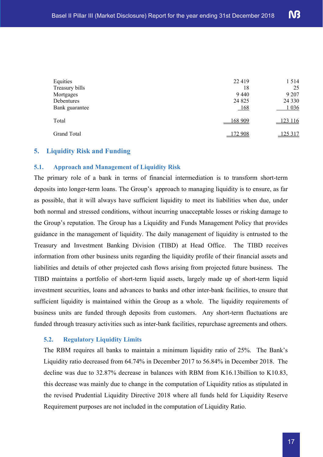| Equities       | 22 4 19 | 1514    |
|----------------|---------|---------|
| Treasury bills | 18      | 25      |
| Mortgages      | 9440    | 9 2 0 7 |
| Debentures     | 24 8 25 | 24 3 30 |
| Bank guarantee | $168$   | 1 0 3 6 |
| Total          | 168 909 | 123 116 |
| Grand Total    | 172 908 | 125 317 |

#### **5. Liquidity Risk and Funding**

#### **5.1. Approach and Management of Liquidity Risk**

The primary role of a bank in terms of financial intermediation is to transform short-term deposits into longer-term loans. The Group's approach to managing liquidity is to ensure, as far as possible, that it will always have sufficient liquidity to meet its liabilities when due, under both normal and stressed conditions, without incurring unacceptable losses or risking damage to the Group's reputation. The Group has a Liquidity and Funds Management Policy that provides guidance in the management of liquidity. The daily management of liquidity is entrusted to the Treasury and Investment Banking Division (TIBD) at Head Office. The TIBD receives information from other business units regarding the liquidity profile of their financial assets and liabilities and details of other projected cash flows arising from projected future business. The TIBD maintains a portfolio of short-term liquid assets, largely made up of short-term liquid investment securities, loans and advances to banks and other inter-bank facilities, to ensure that sufficient liquidity is maintained within the Group as a whole. The liquidity requirements of business units are funded through deposits from customers. Any short-term fluctuations are funded through treasury activities such as inter-bank facilities, repurchase agreements and others.

#### **5.2. Regulatory Liquidity Limits**

The RBM requires all banks to maintain a minimum liquidity ratio of 25%. The Bank's Liquidity ratio decreased from 64.74% in December 2017 to 56.84% in December 2018. The decline was due to 32.87% decrease in balances with RBM from K16.13billion to K10.83, this decrease was mainly due to change in the computation of Liquidity ratios as stipulated in the revised Prudential Liquidity Directive 2018 where all funds held for Liquidity Reserve Requirement purposes are not included in the computation of Liquidity Ratio.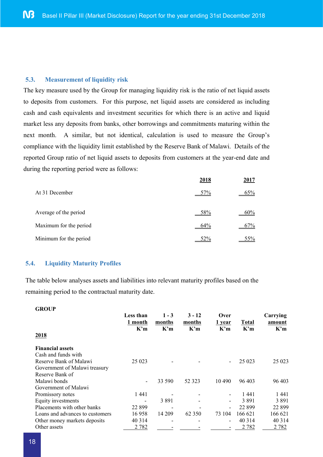#### **5.3. Measurement of liquidity risk**

The key measure used by the Group for managing liquidity risk is the ratio of net liquid assets to deposits from customers. For this purpose, net liquid assets are considered as including cash and cash equivalents and investment securities for which there is an active and liquid market less any deposits from banks, other borrowings and commitments maturing within the next month. A similar, but not identical, calculation is used to measure the Group's compliance with the liquidity limit established by the Reserve Bank of Malawi. Details of the reported Group ratio of net liquid assets to deposits from customers at the year-end date and during the reporting period were as follows:

|                        | 2018 |     |
|------------------------|------|-----|
| At 31 December         | 57%  | 65% |
| Average of the period  | 58%  | 60% |
| Maximum for the period | 64%  | 67% |
| Minimum for the period | 52%  | 55% |

#### **5.4. Liquidity Maturity Profiles**

**GROUP**

The table below analyses assets and liabilities into relevant maturity profiles based on the remaining period to the contractual maturity date.

| GROUL<br>2018                   | Less than<br>1 month<br>K'm | $1 - 3$<br>months<br>K'm | $3 - 12$<br>months<br>K'm | Over<br>1 vear<br>K'm | <b>Total</b><br>K'm | Carrying<br>amount<br>K'm |
|---------------------------------|-----------------------------|--------------------------|---------------------------|-----------------------|---------------------|---------------------------|
| <b>Financial assets</b>         |                             |                          |                           |                       |                     |                           |
| Cash and funds with             |                             |                          |                           |                       |                     |                           |
| Reserve Bank of Malawi          | 25 0 23                     |                          |                           |                       | 25 0 23             | 25 023                    |
| Government of Malawi treasury   |                             |                          |                           |                       |                     |                           |
| Reserve Bank of                 |                             |                          |                           |                       |                     |                           |
| Malawi bonds                    | -                           | 33 590                   | 52 3 23                   | 10 490                | 96 403              | 96 403                    |
| Government of Malawi            |                             |                          |                           |                       |                     |                           |
| Promissory notes                | 1 441                       |                          |                           |                       | 1441                | 1 441                     |
| Equity investments              |                             | 3 8 9 1                  |                           |                       | 3891                | 3 891                     |
| Placements with other banks     | 22 899                      |                          |                           |                       | 22 899              | 22 899                    |
| Loans and advances to customers | 16958                       | 14 209                   | 62 3 5 0                  | 73 104                | 166 621             | 166 621                   |
| Other money markets deposits    | 40 3 14                     |                          |                           | -                     | 40 3 14             | 40 3 14                   |
| Other assets                    | 2 7 8 2                     |                          |                           |                       | 2 7 8 2             | 2 7 8 2                   |
|                                 |                             |                          |                           |                       |                     |                           |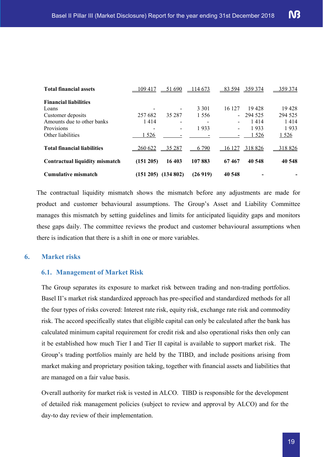| <b>Total financial assets</b>         | 109 417        | 51 690                   | 114 673  | $-83594$                 | 359 374 | 359 374 |
|---------------------------------------|----------------|--------------------------|----------|--------------------------|---------|---------|
| <b>Financial liabilities</b>          |                |                          |          |                          |         |         |
| Loans                                 |                | $\overline{\phantom{a}}$ | 3 3 0 1  | 16 127                   | 19428   | 19428   |
| Customer deposits                     | 257 682        | 35 287                   | 1 5 5 6  | $\overline{\phantom{0}}$ | 294 525 | 294 525 |
| Amounts due to other banks            | 1414           | $\overline{\phantom{a}}$ | -        | -                        | 1414    | 1414    |
| Provisions                            |                | $\overline{\phantom{a}}$ | 1933     | -                        | 1933    | 1933    |
| Other liabilities                     | 1 5 2 6        |                          |          |                          | 1 5 2 6 | 1526    |
| <b>Total financial liabilities</b>    | <u>260 622</u> | 35 287                   | 790<br>6 | $-16127$                 | 318826  | 318 826 |
| <b>Contractual liquidity mismatch</b> | (151 205)      | 16 403                   | 107883   | 67467                    | 40 548  | 40 548  |
| <b>Cumulative mismatch</b>            | (151 205)      | (134802)                 | (26919)  | 40 548                   |         |         |

The contractual liquidity mismatch shows the mismatch before any adjustments are made for product and customer behavioural assumptions. The Group's Asset and Liability Committee manages this mismatch by setting guidelines and limits for anticipated liquidity gaps and monitors these gaps daily. The committee reviews the product and customer behavioural assumptions when there is indication that there is a shift in one or more variables.

#### **6. Market risks**

#### **6.1. Management of Market Risk**

The Group separates its exposure to market risk between trading and non-trading portfolios. Basel II's market risk standardized approach has pre-specified and standardized methods for all the four types of risks covered: Interest rate risk, equity risk, exchange rate risk and commodity risk. The accord specifically states that eligible capital can only be calculated after the bank has calculated minimum capital requirement for credit risk and also operational risks then only can it be established how much Tier I and Tier II capital is available to support market risk. The Group's trading portfolios mainly are held by the TIBD, and include positions arising from market making and proprietary position taking, together with financial assets and liabilities that are managed on a fair value basis.

Overall authority for market risk is vested in ALCO. TIBD is responsible for the development of detailed risk management policies (subject to review and approval by ALCO) and for the day-to day review of their implementation.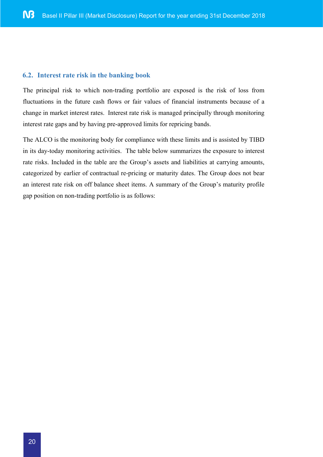#### **6.2. Interest rate risk in the banking book**

The principal risk to which non-trading portfolio are exposed is the risk of loss from fluctuations in the future cash flows or fair values of financial instruments because of a change in market interest rates. Interest rate risk is managed principally through monitoring interest rate gaps and by having pre-approved limits for repricing bands.

The ALCO is the monitoring body for compliance with these limits and is assisted by TIBD in its day-today monitoring activities. The table below summarizes the exposure to interest rate risks. Included in the table are the Group's assets and liabilities at carrying amounts, categorized by earlier of contractual re-pricing or maturity dates. The Group does not bear an interest rate risk on off balance sheet items. A summary of the Group's maturity profile gap position on non-trading portfolio is as follows: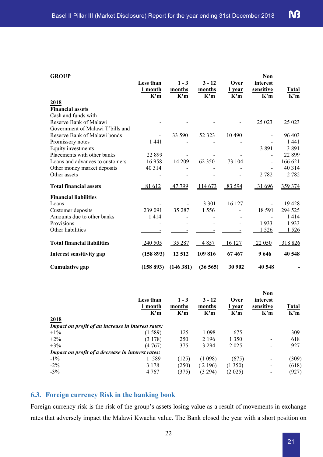| <b>GROUP</b>                       |           |                                 |                                 |         | Non       |              |
|------------------------------------|-----------|---------------------------------|---------------------------------|---------|-----------|--------------|
|                                    | Less than | $1 - 3$                         | $3 - 12$                        | Over    | interest  |              |
|                                    | 1 month   | months                          | months                          | 1 year  | sensitive | <b>Total</b> |
|                                    | K'm       | $\mathbf{K}^{\prime}\mathbf{m}$ | $\mathbf{K}^{\prime}\mathbf{m}$ | K'm     | K'm       | K'm          |
| 2018                               |           |                                 |                                 |         |           |              |
| <b>Financial assets</b>            |           |                                 |                                 |         |           |              |
| Cash and funds with                |           |                                 |                                 |         |           |              |
| Reserve Bank of Malawi             |           |                                 |                                 |         | 25 023    | 25 023       |
| Government of Malawi T'bills and   |           |                                 |                                 |         |           |              |
| Reserve Bank of Malawi bonds       |           | 33 590                          | 52 3 23                         | 10 4 90 |           | 96 403       |
| Promissory notes                   | 1441      |                                 |                                 |         |           | 1441         |
| Equity investments                 |           |                                 |                                 |         | 3891      | 3891         |
| Placements with other banks        | 22 899    |                                 |                                 |         |           | 22899        |
| Loans and advances to customers    | 16958     | 14 209                          | 62 350                          | 73 104  |           | 166 621      |
| Other money market deposits        | 40 3 14   |                                 |                                 |         |           | 40 3 14      |
| Other assets                       |           |                                 |                                 |         | 2 7 8 2   | 2 7 8 2      |
| <b>Total financial assets</b>      | 81 612    | 47 799                          | 114 673                         | 83 594  | 31 696    | 359 374      |
| <b>Financial liabilities</b>       |           |                                 |                                 |         |           |              |
| Loans                              |           |                                 | 3 3 0 1                         | 16 127  |           | 19428        |
| Customer deposits                  | 239 091   | 35 287                          | 1 556                           |         | 18 5 91   | 294 525      |
| Amounts due to other banks         | 1414      |                                 |                                 |         |           | 1414         |
| Provisions                         |           |                                 |                                 |         | 1933      | 1933         |
| Other liabilities                  |           |                                 |                                 |         | 1526      | 1 5 2 6      |
| <b>Total financial liabilities</b> | 240 505   | 35 287                          | 4857                            | 16 127  | 22 050    | 318826       |
| Interest sensitivity gap           | (158 893) | 12 5 12                         | 109 816                         | 67467   | 9646      | 40 548       |
| <b>Cumulative gap</b>              | (158 893) | (146381)                        | (36565)                         | 30 902  | 40 548    |              |
|                                    |           |                                 |                                 |         |           |              |

|                                                    | <b>Less than</b><br>1 month<br>K'm | $1 - 3$<br>months<br>K'm | $3 - 12$<br>months<br>K'm | Over<br>1 vear<br>K'm | <b>Non</b><br>interest<br>sensitive<br>K'm | Total<br>K'm |
|----------------------------------------------------|------------------------------------|--------------------------|---------------------------|-----------------------|--------------------------------------------|--------------|
| 2018                                               |                                    |                          |                           |                       |                                            |              |
| Impact on profit of an increase in interest rates: |                                    |                          |                           |                       |                                            |              |
| $+1\%$                                             | (1589)                             | 125                      | 1 0 9 8                   | 675                   | ۰                                          | 309          |
| $+2\%$                                             | (3178)                             | 250                      | 2 1 9 6                   | 1 3 5 0               | $\overline{\phantom{a}}$                   | 618          |
| $+3%$                                              | (4767)                             | 375                      | 3 2 9 4                   | 2 0 2 5               | ٠                                          | 927          |
| Impact on profit of a decrease in interest rates:  |                                    |                          |                           |                       |                                            |              |
| $-1\%$                                             | 1 589                              | (125)                    | (1098)                    | (675)                 |                                            | (309)        |
| $-2\%$                                             | 3 1 7 8                            | (250)                    | 2196                      | (1350)                | $\overline{\phantom{a}}$                   | (618)        |
| $-3\%$                                             | 4 7 6 7                            | (375)                    | (3 294)                   | (2025)                | $\overline{\phantom{a}}$                   | (927)        |

#### **6.3. Foreign currency Risk in the banking book**

Foreign currency risk is the risk of the group's assets losing value as a result of movements in exchange rates that adversely impact the Malawi Kwacha value. The Bank closed the year with a short position on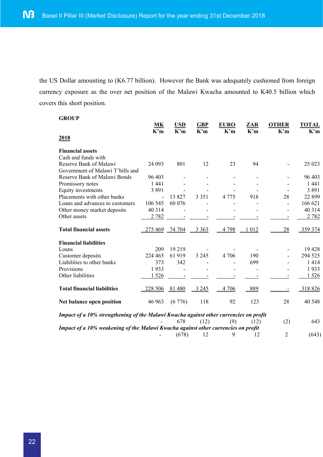the US Dollar amounting to (K6.77 billion). However the Bank was adequately cushioned from foreign currency exposure as the over net position of the Malawi Kwacha amounted to K40.5 billion which covers this short position.

| <b>GROUP</b>                                                                          |                                 |            |            |             |         |                          |              |
|---------------------------------------------------------------------------------------|---------------------------------|------------|------------|-------------|---------|--------------------------|--------------|
|                                                                                       | <b>MK</b>                       | <b>USD</b> | <b>GBP</b> | <b>EURO</b> | ZAR     | <b>OTHER</b>             | <b>TOTAL</b> |
| 2018                                                                                  | $\mathbf{K}^{\prime}\mathbf{m}$ | K'm        | K'm        | K'm         | K'm     | K'm                      | K'm          |
|                                                                                       |                                 |            |            |             |         |                          |              |
| <b>Financial assets</b>                                                               |                                 |            |            |             |         |                          |              |
| Cash and funds with                                                                   |                                 |            |            |             |         |                          |              |
| Reserve Bank of Malawi                                                                | 24 093                          | 801        | 12         | 23          | 94      |                          | 25 023       |
| Government of Malawi T'bills and                                                      |                                 |            |            |             |         |                          |              |
| Reserve Bank of Malawi Bonds                                                          | 96 403                          |            |            |             |         |                          | 96 403       |
| Promissory notes                                                                      | 1 4 4 1                         |            |            |             |         |                          | 1 4 4 1      |
| Equity investments                                                                    | 3891                            |            |            |             |         |                          | 3891         |
| Placements with other banks                                                           | L.                              | 13827      | 3 3 5 1    | 4 7 7 5     | 918     | 28                       | 22 8 9 9     |
| Loans and advances to customers                                                       | 106 545                         | 60 076     |            |             |         | $\overline{\phantom{a}}$ | 166 621      |
| Other money market deposits                                                           | 40 3 14                         |            |            |             |         |                          | 40 3 14      |
| Other assets                                                                          | 2 7 8 2                         |            |            |             |         |                          | 2 7 8 2      |
|                                                                                       |                                 |            |            |             |         |                          |              |
| <b>Total financial assets</b>                                                         | 275469                          | 74 704     | 3 3 6 3    | 4 7 9 8     | 1 0 1 2 | 28                       | 359 374      |
| <b>Financial liabilities</b>                                                          |                                 |            |            |             |         |                          |              |
| Loans                                                                                 | 209                             | 19 219     |            |             |         |                          | 19 4 28      |
| Customer deposits                                                                     | 224 465                         | 61919      | 3 2 4 5    | 4 706       | 190     |                          | 294 525      |
| Liabilities to other banks                                                            | 373                             | 342        |            |             | 699     |                          | 1414         |
| Provisions                                                                            | 1933                            |            |            |             |         |                          | 1933         |
|                                                                                       |                                 |            |            |             |         |                          |              |
| Other liabilities                                                                     | 1 5 2 6                         |            |            |             |         |                          | 1526         |
| <b>Total financial liabilities</b>                                                    | 228 506                         | 81480      | 3 2 4 5    | 4 706       | 889     |                          | 318826       |
| Net balance open position                                                             | 46 963                          | (6776)     | 118        | 92          | 123     | 28                       | 40 548       |
| Impact of a 10% strengthening of the Malawi Kwacha against other currencies on profit |                                 |            |            |             |         |                          |              |
|                                                                                       |                                 | 678        | (12)       | (9)         | (12)    | (2)                      | 643          |
| Impact of a 10% weakening of the Malawi Kwacha against other currencies on profit     |                                 |            |            |             |         |                          |              |
|                                                                                       |                                 | (678)      | 12         | 9           | 12      | $\overline{2}$           | (643)        |
|                                                                                       |                                 |            |            |             |         |                          |              |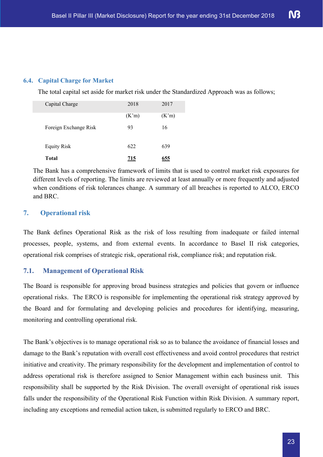#### **6.4. Capital Charge for Market**

The total capital set aside for market risk under the Standardized Approach was as follows;

| Capital Charge        | 2018  | 2017  |
|-----------------------|-------|-------|
|                       | (K'm) | (K'm) |
| Foreign Exchange Risk | 93    | 16    |
| <b>Equity Risk</b>    | 622   | 639   |
| Total                 | 715   | 655   |

The Bank has a comprehensive framework of limits that is used to control market risk exposures for different levels of reporting. The limits are reviewed at least annually or more frequently and adjusted when conditions of risk tolerances change. A summary of all breaches is reported to ALCO, ERCO and BRC.

#### **7. Operational risk**

The Bank defines Operational Risk as the risk of loss resulting from inadequate or failed internal processes, people, systems, and from external events. In accordance to Basel II risk categories, operational risk comprises of strategic risk, operational risk, compliance risk; and reputation risk.

#### **7.1. Management of Operational Risk**

The Board is responsible for approving broad business strategies and policies that govern or influence operational risks. The ERCO is responsible for implementing the operational risk strategy approved by the Board and for formulating and developing policies and procedures for identifying, measuring, monitoring and controlling operational risk.

The Bank's objectives is to manage operational risk so as to balance the avoidance of financial losses and damage to the Bank's reputation with overall cost effectiveness and avoid control procedures that restrict initiative and creativity. The primary responsibility for the development and implementation of control to address operational risk is therefore assigned to Senior Management within each business unit. This responsibility shall be supported by the Risk Division. The overall oversight of operational risk issues falls under the responsibility of the Operational Risk Function within Risk Division. A summary report, including any exceptions and remedial action taken, is submitted regularly to ERCO and BRC.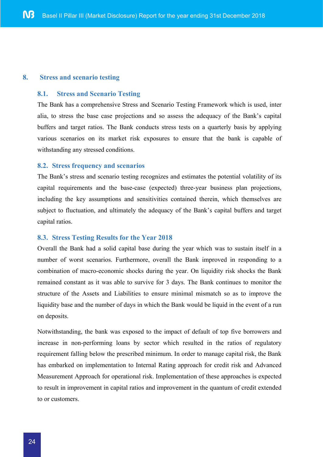#### **8. Stress and scenario testing**

#### **8.1. Stress and Scenario Testing**

The Bank has a comprehensive Stress and Scenario Testing Framework which is used, inter alia, to stress the base case projections and so assess the adequacy of the Bank's capital buffers and target ratios. The Bank conducts stress tests on a quarterly basis by applying various scenarios on its market risk exposures to ensure that the bank is capable of withstanding any stressed conditions.

#### **8.2. Stress frequency and scenarios**

The Bank's stress and scenario testing recognizes and estimates the potential volatility of its capital requirements and the base-case (expected) three-year business plan projections, including the key assumptions and sensitivities contained therein, which themselves are subject to fluctuation, and ultimately the adequacy of the Bank's capital buffers and target capital ratios.

#### **8.3. Stress Testing Results for the Year 2018**

Overall the Bank had a solid capital base during the year which was to sustain itself in a number of worst scenarios. Furthermore, overall the Bank improved in responding to a combination of macro-economic shocks during the year. On liquidity risk shocks the Bank remained constant as it was able to survive for 3 days. The Bank continues to monitor the structure of the Assets and Liabilities to ensure minimal mismatch so as to improve the liquidity base and the number of days in which the Bank would be liquid in the event of a run on deposits.

Notwithstanding, the bank was exposed to the impact of default of top five borrowers and increase in non-performing loans by sector which resulted in the ratios of regulatory requirement falling below the prescribed minimum. In order to manage capital risk, the Bank has embarked on implementation to Internal Rating approach for credit risk and Advanced Measurement Approach for operational risk. Implementation of these approaches is expected to result in improvement in capital ratios and improvement in the quantum of credit extended to or customers.